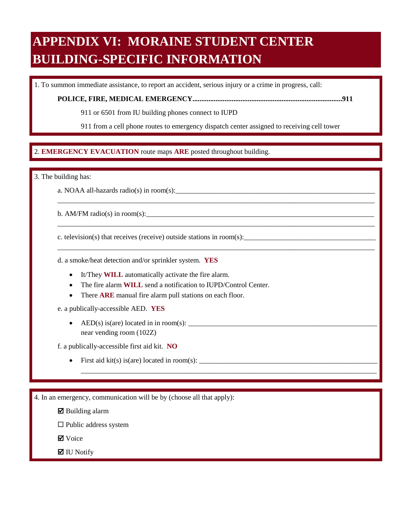# **APPENDIX VI: MORAINE STUDENT CENTER BUILDING-SPECIFIC INFORMATION**

1. To summon immediate assistance, to report an accident, serious injury or a crime in progress, call:

**POLICE, FIRE, MEDICAL EMERGENCY....................................................................................911** 

911 or 6501 from IU building phones connect to IUPD

911 from a cell phone routes to emergency dispatch center assigned to receiving cell tower

\_\_\_\_\_\_\_\_\_\_\_\_\_\_\_\_\_\_\_\_\_\_\_\_\_\_\_\_\_\_\_\_\_\_\_\_\_\_\_\_\_\_\_\_\_\_\_\_\_\_\_\_\_\_\_\_\_\_\_\_\_\_\_\_\_\_\_\_\_\_\_\_\_\_\_\_\_\_\_\_\_\_\_\_\_\_\_\_\_

\_\_\_\_\_\_\_\_\_\_\_\_\_\_\_\_\_\_\_\_\_\_\_\_\_\_\_\_\_\_\_\_\_\_\_\_\_\_\_\_\_\_\_\_\_\_\_\_\_\_\_\_\_\_\_\_\_\_\_\_\_\_\_\_\_\_\_\_\_\_\_\_\_\_\_\_\_\_\_\_\_\_\_\_\_\_\_\_\_

\_\_\_\_\_\_\_\_\_\_\_\_\_\_\_\_\_\_\_\_\_\_\_\_\_\_\_\_\_\_\_\_\_\_\_\_\_\_\_\_\_\_\_\_\_\_\_\_\_\_\_\_\_\_\_\_\_\_\_\_\_\_\_\_\_\_\_\_\_\_\_\_\_\_\_\_\_\_\_\_\_\_\_\_\_\_\_\_\_

\_\_\_\_\_\_\_\_\_\_\_\_\_\_\_\_\_\_\_\_\_\_\_\_\_\_\_\_\_\_\_\_\_\_\_\_\_\_\_\_\_\_\_\_\_\_\_\_\_\_\_\_\_\_\_\_\_\_\_\_\_\_\_\_\_\_\_\_\_\_\_\_\_\_\_\_\_\_\_\_\_\_\_

### $\overline{a}$ 2. EMERGENCY EVACUATION route maps ARE posted throughout building. 2. **EMERGENCY EVACUATION** route maps **ARE** posted throughout building.

3. The building has:

a. NOAA all-hazards radio(s) in room(s):

b. AM/FM radio(s) in room(s):

c. television(s) that receives (receive) outside stations in room(s):

d. a smoke/heat detection and/or sprinkler system. **YES** 

- It/They **WILL** automatically activate the fire alarm.
- The fire alarm **WILL** send a notification to IUPD/Control Center.
- There **ARE** manual fire alarm pull stations on each floor.

e. a publically-accessible AED. **YES** 

• AED(s) is(are) located in in room(s):  $\frac{1}{\sqrt{1-\frac{1}{2}}}\left\{ \frac{1}{2}, \frac{1}{2}, \frac{1}{2}, \frac{1}{2}, \frac{1}{2}, \frac{1}{2}, \frac{1}{2}, \frac{1}{2}, \frac{1}{2}, \frac{1}{2}, \frac{1}{2}, \frac{1}{2}, \frac{1}{2}, \frac{1}{2}, \frac{1}{2}, \frac{1}{2}, \frac{1}{2}, \frac{1}{2}, \frac{1}{2}, \frac{1}{2}, \frac{1}{2}, \frac{1}{2}, \frac{1}{2$ near vending room (102Z)

f. a publically-accessible first aid kit. **NO** 

• First aid kit(s) is(are) located in room(s):  $\_\_\_\_\_\_\_\_$ 

4. In an emergency, communication will be by (choose all that apply):

 $\boxtimes$  Building alarm

 $\square$  Public address system

**Ø** Voice

 $\blacksquare$  IU Notify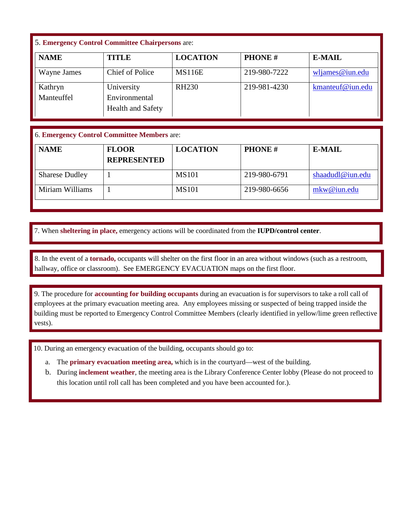## 5. **Emergency Control Committee Chairpersons** are:

| <b>NAME</b>           | <b>TITLE</b>                                     | <b>LOCATION</b> | <b>PHONE#</b> | <b>E-MAIL</b>    |
|-----------------------|--------------------------------------------------|-----------------|---------------|------------------|
| Wayne James           | <b>Chief of Police</b>                           | <b>MS116E</b>   | 219-980-7222  | wljames@iun.edu  |
| Kathryn<br>Manteuffel | University<br>Environmental<br>Health and Safety | <b>RH230</b>    | 219-981-4230  | kmanteuf@iun.edu |

## 6. **Emergency Control Committee Members** are:

| <b>NAME</b>           | <b>FLOOR</b><br><b>REPRESENTED</b> | <b>LOCATION</b> | <b>PHONE#</b> | <b>E-MAIL</b>    |
|-----------------------|------------------------------------|-----------------|---------------|------------------|
| <b>Sharese Dudley</b> |                                    | <b>MS101</b>    | 219-980-6791  | shaadudl@iun.edu |
| Miriam Williams       |                                    | <b>MS101</b>    | 219-980-6656  | mkw@ium.edu      |

7. When sheltering in place, emergency actions will be coordinated from the IUPD/control center. 7. When **sheltering in place,** emergency actions will be coordinated from the **IUPD/control center**.

 $\ddot{\phantom{0}}$  hallway, office or classroom). See EMERGENCY EVACUATION maps on the first floor. 8. In the event of a **tornado**, occupants will shelter on the first floor in an area without windows (such as a restroom, hallway, office or classroom). See EMERGENCY EVACUATION maps on the first floor. 8. In the event of a **tornado,** occupants will shelter on the first floor in an area without windows (such as a restroom,

 9. The procedure for **accounting for building occupants** during an evacuation is for supervisors to take a roll call of employees at the primary evacuation meeting area. Any employees missing or suspected of being trapped inside the building must be reported to Emergency Control Committee Members (clearly identified in yellow/lime green reflective vests).

10. During an emergency evacuation of the building, occupants should go to:

- a. The **primary evacuation meeting area,** which is in the courtyard—west of the building.
- b. During **inclement weather**, the meeting area is the Library Conference Center lobby (Please do not proceed to this location until roll call has been completed and you have been accounted for.).